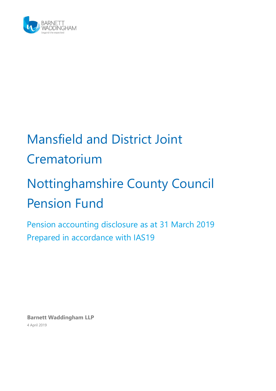

# Mansfield and District Joint Crematorium

# Nottinghamshire County Council Pension Fund

Pension accounting disclosure as at 31 March 2019 Prepared in accordance with IAS19

**Barnett Waddingham LLP** 4 April 2019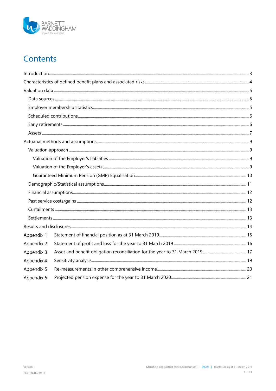

# Contents

| Appendix 1 |  |
|------------|--|
| Appendix 2 |  |
| Appendix 3 |  |
| Appendix 4 |  |
| Appendix 5 |  |
| Appendix 6 |  |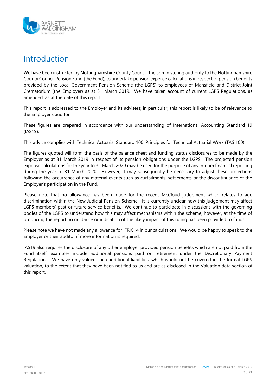

### <span id="page-2-0"></span>Introduction

We have been instructed by Nottinghamshire County Council, the administering authority to the Nottinghamshire County Council Pension Fund (the Fund), to undertake pension expense calculations in respect of pension benefits provided by the Local Government Pension Scheme (the LGPS) to employees of Mansfield and District Joint Crematorium (the Employer) as at 31 March 2019. We have taken account of current LGPS Regulations, as amended, as at the date of this report.

This report is addressed to the Employer and its advisers; in particular, this report is likely to be of relevance to the Employer's auditor.

These figures are prepared in accordance with our understanding of International Accounting Standard 19 (IAS19).

This advice complies with Technical Actuarial Standard 100: Principles for Technical Actuarial Work (TAS 100).

The figures quoted will form the basis of the balance sheet and funding status disclosures to be made by the Employer as at 31 March 2019 in respect of its pension obligations under the LGPS. The projected pension expense calculations for the year to 31 March 2020 may be used for the purpose of any interim financial reporting during the year to 31 March 2020. However, it may subsequently be necessary to adjust these projections following the occurrence of any material events such as curtailments, settlements or the discontinuance of the Employer's participation in the Fund.

Please note that no allowance has been made for the recent McCloud judgement which relates to age discrimination within the New Judicial Pension Scheme. It is currently unclear how this judgement may affect LGPS members' past or future service benefits. We continue to participate in discussions with the governing bodies of the LGPS to understand how this may affect mechanisms within the scheme, however, at the time of producing the report no guidance or indication of the likely impact of this ruling has been provided to funds.

Please note we have not made any allowance for IFRIC14 in our calculations. We would be happy to speak to the Employer or their auditor if more information is required.

IAS19 also requires the disclosure of any other employer provided pension benefits which are not paid from the Fund itself: examples include additional pensions paid on retirement under the Discretionary Payment Regulations. We have only valued such additional liabilities, which would not be covered in the formal LGPS valuation, to the extent that they have been notified to us and are as disclosed in the Valuation data section of this report.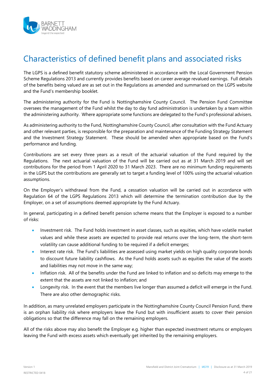

# <span id="page-3-0"></span>Characteristics of defined benefit plans and associated risks

The LGPS is a defined benefit statutory scheme administered in accordance with the Local Government Pension Scheme Regulations 2013 and currently provides benefits based on career average revalued earnings. Full details of the benefits being valued are as set out in the Regulations as amended and summarised on the LGPS website and the Fund's membership booklet.

The administering authority for the Fund is Nottinghamshire County Council. The Pension Fund Committee oversees the management of the Fund whilst the day to day fund administration is undertaken by a team within the administering authority. Where appropriate some functions are delegated to the Fund's professional advisers.

As administering authority to the Fund, Nottinghamshire County Council, after consultation with the Fund Actuary and other relevant parties, is responsible for the preparation and maintenance of the Funding Strategy Statement and the Investment Strategy Statement. These should be amended when appropriate based on the Fund's performance and funding.

Contributions are set every three years as a result of the actuarial valuation of the Fund required by the Regulations. The next actuarial valuation of the Fund will be carried out as at 31 March 2019 and will set contributions for the period from 1 April 2020 to 31 March 2023. There are no minimum funding requirements in the LGPS but the contributions are generally set to target a funding level of 100% using the actuarial valuation assumptions.

On the Employer's withdrawal from the Fund, a cessation valuation will be carried out in accordance with Regulation 64 of the LGPS Regulations 2013 which will determine the termination contribution due by the Employer, on a set of assumptions deemed appropriate by the Fund Actuary.

In general, participating in a defined benefit pension scheme means that the Employer is exposed to a number of risks:

- Investment risk. The Fund holds investment in asset classes, such as equities, which have volatile market values and while these assets are expected to provide real returns over the long-term, the short-term volatility can cause additional funding to be required if a deficit emerges;
- Interest rate risk. The Fund's liabilities are assessed using market yields on high quality corporate bonds to discount future liability cashflows. As the Fund holds assets such as equities the value of the assets and liabilities may not move in the same way;
- Inflation risk. All of the benefits under the Fund are linked to inflation and so deficits may emerge to the extent that the assets are not linked to inflation; and
- Longevity risk. In the event that the members live longer than assumed a deficit will emerge in the Fund. There are also other demographic risks.

In addition, as many unrelated employers participate in the Nottinghamshire County Council Pension Fund, there is an orphan liability risk where employers leave the Fund but with insufficient assets to cover their pension obligations so that the difference may fall on the remaining employers.

All of the risks above may also benefit the Employer e.g. higher than expected investment returns or employers leaving the Fund with excess assets which eventually get inherited by the remaining employers.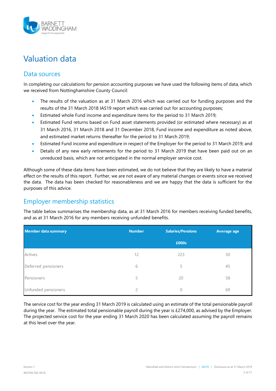

# <span id="page-4-0"></span>Valuation data

### <span id="page-4-1"></span>Data sources

In completing our calculations for pension accounting purposes we have used the following items of data, which we received from Nottinghamshire County Council:

- The results of the valuation as at 31 March 2016 which was carried out for funding purposes and the results of the 31 March 2018 IAS19 report which was carried out for accounting purposes;
- Estimated whole Fund income and expenditure items for the period to 31 March 2019;
- Estimated Fund returns based on Fund asset statements provided (or estimated where necessary) as at 31 March 2016, 31 March 2018 and 31 December 2018, Fund income and expenditure as noted above, and estimated market returns thereafter for the period to 31 March 2019;
- Estimated Fund income and expenditure in respect of the Employer for the period to 31 March 2019; and
- Details of any new early retirements for the period to 31 March 2019 that have been paid out on an unreduced basis, which are not anticipated in the normal employer service cost.

Although some of these data items have been estimated, we do not believe that they are likely to have a material effect on the results of this report. Further, we are not aware of any material changes or events since we received the data. The data has been checked for reasonableness and we are happy that the data is sufficient for the purposes of this advice.

### <span id="page-4-2"></span>Employer membership statistics

The table below summarises the membership data, as at 31 March 2016 for members receiving funded benefits, and as at 31 March 2016 for any members receiving unfunded benefits.

| <b>Member data summary</b> | <b>Number</b> | <b>Salaries/Pensions</b> | <b>Average age</b> |
|----------------------------|---------------|--------------------------|--------------------|
|                            |               | £000s                    |                    |
| Actives                    | 12            | 223                      | 50                 |
| Deferred pensioners        | 6             | 5                        | 45                 |
| Pensioners                 | 5             | 20                       | 58                 |
| Unfunded pensioners        | $\mathcal{P}$ | 0                        | 69                 |

The service cost for the year ending 31 March 2019 is calculated using an estimate of the total pensionable payroll during the year. The estimated total pensionable payroll during the year is £274,000, as advised by the Employer. The projected service cost for the year ending 31 March 2020 has been calculated assuming the payroll remains at this level over the year.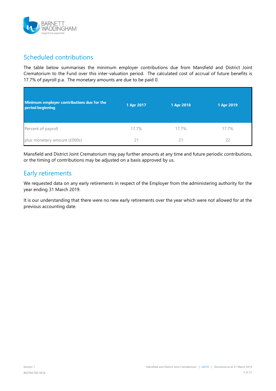

### <span id="page-5-0"></span>Scheduled contributions

The table below summarises the minimum employer contributions due from Mansfield and District Joint Crematorium to the Fund over this inter-valuation period. The calculated cost of accrual of future benefits is 17.7% of payroll p.a. The monetary amounts are due to be paid 0.

| Minimum employer contributions due for the<br>period beginning | 1 Apr 2017 | 1 Apr 2018 | 1 Apr 2019 |
|----------------------------------------------------------------|------------|------------|------------|
| Percent of payroll                                             | 17.7%      | 17.7%      | 17.7%      |
| plus monetary amount (£000s)                                   | 21         | 21         | 22         |

Mansfield and District Joint Crematorium may pay further amounts at any time and future periodic contributions, or the timing of contributions may be adjusted on a basis approved by us.

### <span id="page-5-1"></span>Early retirements

We requested data on any early retirements in respect of the Employer from the administering authority for the year ending 31 March 2019.

It is our understanding that there were no new early retirements over the year which were not allowed for at the previous accounting date.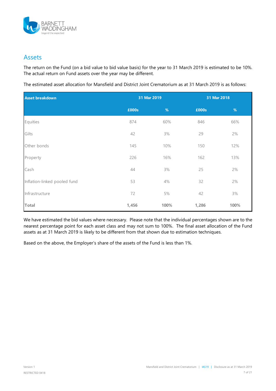

### <span id="page-6-0"></span>Assets

The return on the Fund (on a bid value to bid value basis) for the year to 31 March 2019 is estimated to be 10%. The actual return on Fund assets over the year may be different.

The estimated asset allocation for Mansfield and District Joint Crematorium as at 31 March 2019 is as follows:

| <b>Asset breakdown</b>       |       | 31 Mar 2019 | 31 Mar 2018 |      |
|------------------------------|-------|-------------|-------------|------|
|                              | £000s | $\%$        | £000s       | %    |
| Equities                     | 874   | 60%         | 846         | 66%  |
| Gilts                        | 42    | 3%          | 29          | 2%   |
| Other bonds                  | 145   | 10%         | 150         | 12%  |
| Property                     | 226   | 16%         | 162         | 13%  |
| Cash                         | $44$  | 3%          | 25          | 2%   |
| Inflation-linked pooled fund | 53    | 4%          | 32          | 2%   |
| Infrastructure               | 72    | 5%          | 42          | 3%   |
| <b>Total</b>                 | 1,456 | 100%        | 1,286       | 100% |

We have estimated the bid values where necessary. Please note that the individual percentages shown are to the nearest percentage point for each asset class and may not sum to 100%. The final asset allocation of the Fund assets as at 31 March 2019 is likely to be different from that shown due to estimation techniques.

Based on the above, the Employer's share of the assets of the Fund is less than 1%.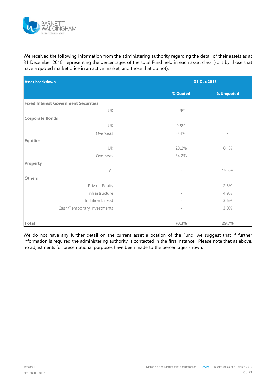

We received the following information from the administering authority regarding the detail of their assets as at 31 December 2018, representing the percentages of the total Fund held in each asset class (split by those that have a quoted market price in an active market, and those that do not).

| <b>Asset breakdown</b>                      | 31 Dec 2018    |                          |  |
|---------------------------------------------|----------------|--------------------------|--|
|                                             | % Quoted       | % Unquoted               |  |
| <b>Fixed Interest Government Securities</b> |                |                          |  |
| UK                                          | 2.9%           |                          |  |
| <b>Corporate Bonds</b>                      |                |                          |  |
| UK                                          | 9.5%           |                          |  |
| Overseas                                    | 0.4%           | $\overline{\phantom{a}}$ |  |
| <b>Equities</b>                             |                |                          |  |
| UK                                          | 23.2%          | 0.1%                     |  |
| Overseas                                    | 34.2%          | $\bar{ }$                |  |
| Property                                    |                |                          |  |
| All                                         |                | 15.5%                    |  |
| <b>Others</b>                               |                |                          |  |
| Private Equity                              | $\overline{a}$ | 2.5%                     |  |
| Infrastructure                              | $\overline{a}$ | 4.9%                     |  |
| Inflation Linked                            |                | 3.6%                     |  |
| Cash/Temporary Investments                  | $\overline{a}$ | 3.0%                     |  |
|                                             |                |                          |  |
| <b>Total</b>                                | 70.3%          | 29.7%                    |  |

We do not have any further detail on the current asset allocation of the Fund; we suggest that if further information is required the administering authority is contacted in the first instance. Please note that as above, no adjustments for presentational purposes have been made to the percentages shown.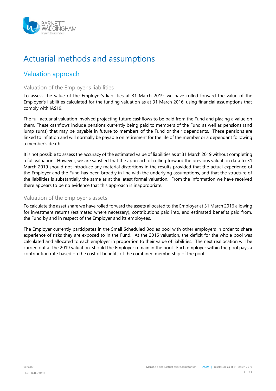

# <span id="page-8-0"></span>Actuarial methods and assumptions

### <span id="page-8-1"></span>Valuation approach

#### <span id="page-8-2"></span>Valuation of the Employer's liabilities

To assess the value of the Employer's liabilities at 31 March 2019, we have rolled forward the value of the Employer's liabilities calculated for the funding valuation as at 31 March 2016, using financial assumptions that comply with IAS19.

The full actuarial valuation involved projecting future cashflows to be paid from the Fund and placing a value on them. These cashflows include pensions currently being paid to members of the Fund as well as pensions (and lump sums) that may be payable in future to members of the Fund or their dependants. These pensions are linked to inflation and will normally be payable on retirement for the life of the member or a dependant following a member's death.

It is not possible to assess the accuracy of the estimated value of liabilities as at 31 March 2019 without completing a full valuation. However, we are satisfied that the approach of rolling forward the previous valuation data to 31 March 2019 should not introduce any material distortions in the results provided that the actual experience of the Employer and the Fund has been broadly in line with the underlying assumptions, and that the structure of the liabilities is substantially the same as at the latest formal valuation. From the information we have received there appears to be no evidence that this approach is inappropriate.

#### <span id="page-8-3"></span>Valuation of the Employer's assets

To calculate the asset share we have rolled forward the assets allocated to the Employer at 31 March 2016 allowing for investment returns (estimated where necessary), contributions paid into, and estimated benefits paid from, the Fund by and in respect of the Employer and its employees.

The Employer currently participates in the Small Scheduled Bodies pool with other employers in order to share experience of risks they are exposed to in the Fund. At the 2016 valuation, the deficit for the whole pool was calculated and allocated to each employer in proportion to their value of liabilities. The next reallocation will be carried out at the 2019 valuation, should the Employer remain in the pool. Each employer within the pool pays a contribution rate based on the cost of benefits of the combined membership of the pool.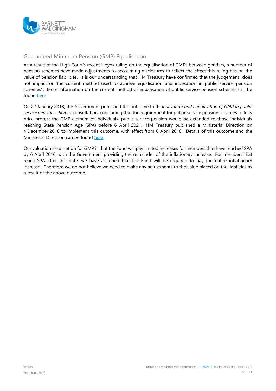

#### <span id="page-9-0"></span>Guaranteed Minimum Pension (GMP) Equalisation

As a result of the High Court's recent Lloyds ruling on the equalisation of GMPs between genders, a number of pension schemes have made adjustments to accounting disclosures to reflect the effect this ruling has on the value of pension liabilities. It is our understanding that HM Treasury have confirmed that the judgement "does not impact on the current method used to achieve equalisation and indexation in public service pension schemes". More information on the current method of equalisation of public service pension schemes can be found [here.](https://www.gov.uk/government/consultations/indexation-and-equalisation-of-gmp-in-public-service-pension-schemes/consultation-on-indexation-and-equalisation-of-gmp-in-public-service-pension-schemes)

On 22 January 2018, the Government published the outcome to its *Indexation and equalisation of GMP in public service pension schemes* consultation, concluding that the requirement for public service pension schemes to fully price protect the GMP element of individuals' public service pension would be extended to those individuals reaching State Pension Age (SPA) before 6 April 2021. HM Treasury published a Ministerial Direction on 4 December 2018 to implement this outcome, with effect from 6 April 2016. Details of this outcome and the Ministerial Direction can be found [here.](https://www.gov.uk/government/publications/indexation-of-public-service-pensions)

Our valuation assumption for GMP is that the Fund will pay limited increases for members that have reached SPA by 6 April 2016, with the Government providing the remainder of the inflationary increase. For members that reach SPA after this date, we have assumed that the Fund will be required to pay the entire inflationary increase. Therefore we do not believe we need to make any adjustments to the value placed on the liabilities as a result of the above outcome.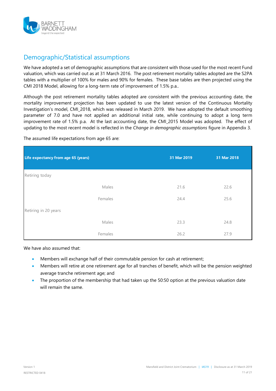

### <span id="page-10-0"></span>Demographic/Statistical assumptions

We have adopted a set of demographic assumptions that are consistent with those used for the most recent Fund valuation, which was carried out as at 31 March 2016. The post retirement mortality tables adopted are the S2PA tables with a multiplier of 100% for males and 90% for females. These base tables are then projected using the CMI 2018 Model, allowing for a long-term rate of improvement of 1.5% p.a..

Although the post retirement mortality tables adopted are consistent with the previous accounting date, the mortality improvement projection has been updated to use the latest version of the Continuous Mortality Investigation's model, CMI\_2018, which was released in March 2019. We have adopted the default smoothing parameter of 7.0 and have not applied an additional initial rate, while continuing to adopt a long term improvement rate of 1.5% p.a. At the last accounting date, the CMI\_2015 Model was adopted. The effect of updating to the most recent model is reflected in the *Change in demographic assumptions* figure in [Appendix 3.](#page-16-0)

Retiring today Males 22.6 Females 24.4 25.6 Retiring in 20 years Males 23.3 24.8 Females 26.2 27.9 **Life expectancy from age 65 (years) 31 Mar 2019 31 Mar 2018**

The assumed life expectations from age 65 are:

We have also assumed that:

- Members will exchange half of their commutable pension for cash at retirement;
- Members will retire at one retirement age for all tranches of benefit, which will be the pension weighted average tranche retirement age; and
- The proportion of the membership that had taken up the 50:50 option at the previous valuation date will remain the same.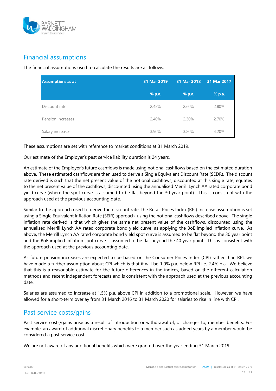

### <span id="page-11-0"></span>Financial assumptions

The financial assumptions used to calculate the results are as follows:

| <b>Assumptions as at</b> | 31 Mar 2019 | 31 Mar 2018 | 31 Mar 2017 |
|--------------------------|-------------|-------------|-------------|
|                          | % p.a.      | % p.a.      | % p.a.      |
| Discount rate            | 2.45%       | 2.60%       | 2.80%       |
| Pension increases        | 2.40%       | 2.30%       | 2.70%       |
| Salary increases         | 3.90%       | 3.80%       | 4.20%       |

These assumptions are set with reference to market conditions at 31 March 2019.

Our estimate of the Employer's past service liability duration is 24 years.

An estimate of the Employer's future cashflows is made using notional cashflows based on the estimated duration above. These estimated cashflows are then used to derive a Single Equivalent Discount Rate (SEDR). The discount rate derived is such that the net present value of the notional cashflows, discounted at this single rate, equates to the net present value of the cashflows, discounted using the annualised Merrill Lynch AA rated corporate bond yield curve (where the spot curve is assumed to be flat beyond the 30 year point). This is consistent with the approach used at the previous accounting date.

Similar to the approach used to derive the discount rate, the Retail Prices Index (RPI) increase assumption is set using a Single Equivalent Inflation Rate (SEIR) approach, using the notional cashflows described above. The single inflation rate derived is that which gives the same net present value of the cashflows, discounted using the annualised Merrill Lynch AA rated corporate bond yield curve, as applying the BoE implied inflation curve. As above, the Merrill Lynch AA rated corporate bond yield spot curve is assumed to be flat beyond the 30 year point and the BoE implied inflation spot curve is assumed to be flat beyond the 40 year point. This is consistent with the approach used at the previous accounting date.

As future pension increases are expected to be based on the Consumer Prices Index (CPI) rather than RPI, we have made a further assumption about CPI which is that it will be 1.0% p.a. below RPI i.e. 2.4% p.a. We believe that this is a reasonable estimate for the future differences in the indices, based on the different calculation methods and recent independent forecasts and is consistent with the approach used at the previous accounting date.

Salaries are assumed to increase at 1.5% p.a. above CPI in addition to a promotional scale. However, we have allowed for a short-term overlay from 31 March 2016 to 31 March 2020 for salaries to rise in line with CPI.

#### <span id="page-11-1"></span>Past service costs/gains

Past service costs/gains arise as a result of introduction or withdrawal of, or changes to, member benefits. For example, an award of additional discretionary benefits to a member such as added years by a member would be considered a past service cost.

We are not aware of any additional benefits which were granted over the year ending 31 March 2019.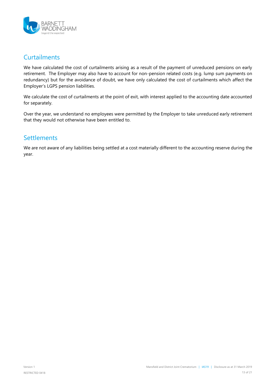

### <span id="page-12-0"></span>Curtailments

We have calculated the cost of curtailments arising as a result of the payment of unreduced pensions on early retirement. The Employer may also have to account for non-pension related costs (e.g. lump sum payments on redundancy) but for the avoidance of doubt, we have only calculated the cost of curtailments which affect the Employer's LGPS pension liabilities.

We calculate the cost of curtailments at the point of exit, with interest applied to the accounting date accounted for separately.

Over the year, we understand no employees were permitted by the Employer to take unreduced early retirement that they would not otherwise have been entitled to.

### <span id="page-12-1"></span>**Settlements**

We are not aware of any liabilities being settled at a cost materially different to the accounting reserve during the year.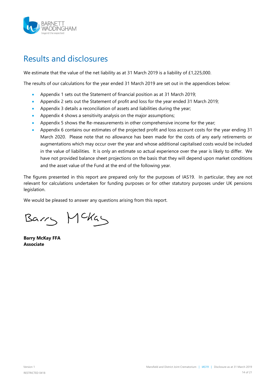

### <span id="page-13-0"></span>Results and disclosures

We estimate that the value of the net liability as at 31 March 2019 is a liability of £1,225,000.

The results of our calculations for the year ended 31 March 2019 are set out in the appendices below:

- Appendix 1 sets out the Statement of financial position as at 31 March 2019;
- Appendix 2 sets out the Statement of profit and loss for the year ended 31 March 2019;
- Appendix 3 details a reconciliation of assets and liabilities during the year;
- Appendix 4 shows a sensitivity analysis on the major assumptions;
- Appendix 5 shows the Re-measurements in other comprehensive income for the year;
- Appendix 6 contains our estimates of the projected profit and loss account costs for the year ending 31 March 2020. Please note that no allowance has been made for the costs of any early retirements or augmentations which may occur over the year and whose additional capitalised costs would be included in the value of liabilities. It is only an estimate so actual experience over the year is likely to differ. We have not provided balance sheet projections on the basis that they will depend upon market conditions and the asset value of the Fund at the end of the following year.

The figures presented in this report are prepared only for the purposes of IAS19. In particular, they are not relevant for calculations undertaken for funding purposes or for other statutory purposes under UK pensions legislation.

We would be pleased to answer any questions arising from this report.

Barry Mckay

**Barry McKay FFA Associate**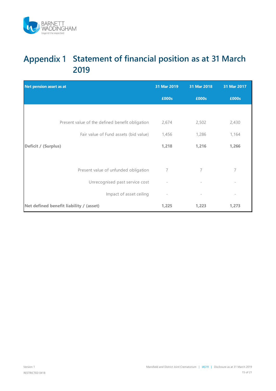

## <span id="page-14-0"></span>Appendix 1 Statement of financial position as at 31 March **2019**

| Net pension asset as at                         | 31 Mar 2019    | 31 Mar 2018 | 31 Mar 2017              |
|-------------------------------------------------|----------------|-------------|--------------------------|
|                                                 | £000s          | £000s       | £000s                    |
|                                                 |                |             |                          |
| Present value of the defined benefit obligation | 2,674          | 2,502       | 2,430                    |
| Fair value of Fund assets (bid value)           | 1,456          | 1,286       | 1,164                    |
| Deficit / (Surplus)                             | 1,218          | 1,216       | 1,266                    |
|                                                 |                |             |                          |
| Present value of unfunded obligation            | $\overline{7}$ | 7           | 7                        |
| Unrecognised past service cost                  |                |             |                          |
| Impact of asset ceiling                         |                |             | $\overline{\phantom{a}}$ |
| Net defined benefit liability / (asset)         | 1,225          | 1,223       | 1,273                    |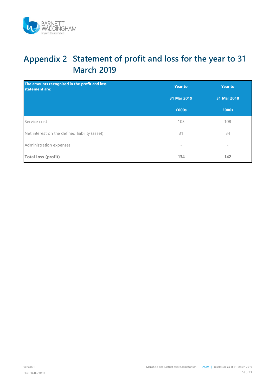

# <span id="page-15-0"></span>**Statement of profit and loss for the year to 31 March 2019**

| The amounts recognised in the profit and loss<br>statement are: | <b>Year to</b>           | <b>Year to</b> |
|-----------------------------------------------------------------|--------------------------|----------------|
|                                                                 | 31 Mar 2019              | 31 Mar 2018    |
|                                                                 | £000s                    | £000s          |
| Service cost                                                    | 103                      | 108            |
| Net interest on the defined liability (asset)                   | 31                       | 34             |
| Administration expenses                                         | $\overline{\phantom{a}}$ | $\sim$         |
| <b>Total loss (profit)</b>                                      | 134                      | 142            |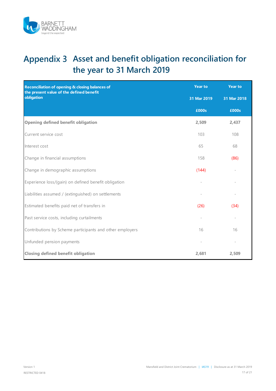

# <span id="page-16-0"></span>Appendix 3 Asset and benefit obligation reconciliation for **the year to 31 March 2019**

| Reconciliation of opening & closing balances of<br>the present value of the defined benefit | <b>Year to</b> | <b>Year to</b> |  |
|---------------------------------------------------------------------------------------------|----------------|----------------|--|
| obligation                                                                                  | 31 Mar 2019    | 31 Mar 2018    |  |
|                                                                                             | £000s          | £000s          |  |
| <b>Opening defined benefit obligation</b>                                                   | 2,509          | 2,437          |  |
| Current service cost                                                                        | 103            | 108            |  |
| Interest cost                                                                               | 65             | 68             |  |
| Change in financial assumptions                                                             | 158            | (86)           |  |
| Change in demographic assumptions                                                           | (144)          |                |  |
| Experience loss/(gain) on defined benefit obligation                                        |                |                |  |
| Liabilities assumed / (extinguished) on settlements                                         |                |                |  |
| Estimated benefits paid net of transfers in                                                 | (26)           | (34)           |  |
| Past service costs, including curtailments                                                  |                |                |  |
| Contributions by Scheme participants and other employers                                    | 16             | 16             |  |
| Unfunded pension payments                                                                   |                |                |  |
| <b>Closing defined benefit obligation</b>                                                   | 2,681          | 2,509          |  |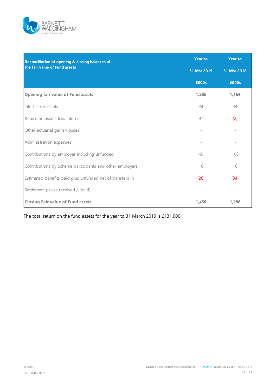

| Reconciliation of opening & closing balances of           | <b>Year to</b> | <b>Year to</b> |  |
|-----------------------------------------------------------|----------------|----------------|--|
| the fair value of Fund assets                             | 31 Mar 2019    | 31 Mar 2018    |  |
|                                                           | £000s          | £000s          |  |
| <b>Opening fair value of Fund assets</b>                  | 1,286          | 1,164          |  |
| Interest on assets                                        | 34             | 34             |  |
| Return on assets less interest                            | 97             | (2)            |  |
| Other actuarial gains/(losses)                            |                |                |  |
| Administration expenses                                   |                |                |  |
| Contributions by employer including unfunded              | 49             | 108            |  |
| Contributions by Scheme participants and other employers  | 16             | 16             |  |
| Estimated benefits paid plus unfunded net of transfers in | (26)           | (34)           |  |
| Settlement prices received / (paid)                       |                |                |  |
| <b>Closing Fair value of Fund assets</b>                  | 1,456          | 1,286          |  |

The total return on the fund assets for the year to 31 March 2019 is £131,000.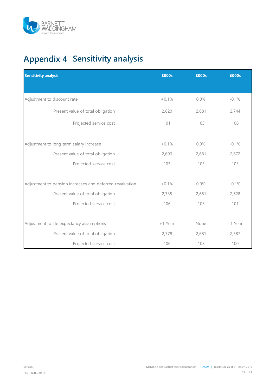

# <span id="page-18-0"></span>**Appendix 4 Sensitivity analysis**

| <b>Sensitivity analysis</b>                              | £000s   | £000s   | £000s    |
|----------------------------------------------------------|---------|---------|----------|
|                                                          |         |         |          |
| Adjustment to discount rate                              | $+0.1%$ | 0.0%    | $-0.1%$  |
| Present value of total obligation                        | 2,620   | 2,681   | 2,744    |
| Projected service cost                                   | 101     | 103     | 106      |
|                                                          |         |         |          |
| Adjustment to long term salary increase                  | $+0.1%$ | $0.0\%$ | $-0.1%$  |
| Present value of total obligation                        | 2,690   | 2,681   | 2,672    |
| Projected service cost                                   | 103     | 103     | 103      |
| Adjustment to pension increases and deferred revaluation | $+0.1%$ | 0.0%    | $-0.1%$  |
| Present value of total obligation                        | 2,735   | 2,681   | 2,628    |
| Projected service cost                                   | 106     | 103     | 101      |
|                                                          |         |         |          |
| Adjustment to life expectancy assumptions                | +1 Year | None    | - 1 Year |
| Present value of total obligation                        | 2,778   | 2,681   | 2,587    |
| Projected service cost                                   | 106     | 103     | 100      |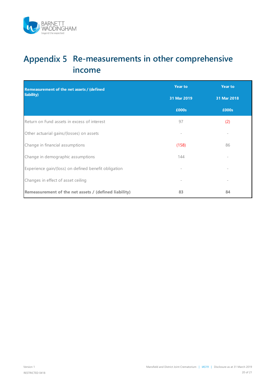

# <span id="page-19-0"></span>Appendix 5 Re-measurements in other comprehensive **income**

| Remeasurement of the net assets / (defined            | <b>Year to</b> | <b>Year to</b> |  |
|-------------------------------------------------------|----------------|----------------|--|
| liability)                                            | 31 Mar 2019    | 31 Mar 2018    |  |
|                                                       | £000s          | £000s          |  |
| Return on Fund assets in excess of interest           | 97             | (2)            |  |
| Other actuarial gains/(losses) on assets              |                |                |  |
| Change in financial assumptions                       | (158)          | 86             |  |
| Change in demographic assumptions                     | 144            |                |  |
| Experience gain/(loss) on defined benefit obligation  |                |                |  |
| Changes in effect of asset ceiling                    |                |                |  |
| Remeasurement of the net assets / (defined liability) | 83             | 84             |  |